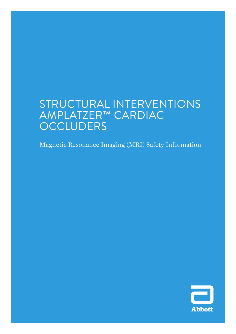# STRUCTURAL INTERVENTIONS AMPLATZER™ CARDIAC **OCCLUDERS**

Magnetic Resonance Imaging (MRI) Safety Information

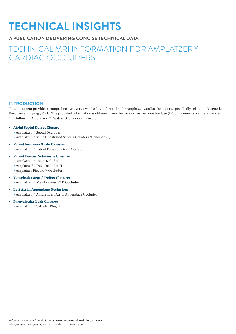# **TECHNICAL INSIGHTS**

# **A PUBLICATION DELIVERING CONCISE TECHNICAL DATA**

# TECHNICAL MRI INFORMATION FOR AMPLATZER™ CARDIAC OCCLUDERS

# **INTRODUCTION**

This document provides a comprehensive overview of safety information for Amplatzer Cardiac Occluders, specifically related to Magnetic Resonance Imaging (MRI). The provided information is obtained from the various Instructions For Use (IFU) documents for these devices. The following Amplatzer™ Cardiac Occluders are covered:

# **• Atrial Septal Defect Closure:**

- $\bullet$  Amplatzer<sup>TM</sup> Septal Occluder
- Amplatzer<sup>TM</sup> Multifenestrated Septal Occluder ("Cribriform")
- **• Patent Foramen Ovale Closure:** • AmplatzerTM Patent Foramen Ovale Occluder

# **• Patent Ductus Arteriosus Closure:**

- Amplatzer<sup>TM</sup> Duct Occluder
- Amplatzer<sup>TM</sup> Duct Occluder II
- Amplatzer Piccolo™ Occluder
- **• Ventricular Septal Defect Closure:**
	- Amplatzer<sup>TM</sup> Membranous VSD Occluder
- **• Left Atrial Appendage Occlusion:** • AmplatzerTM Amulet Left Atrial Appendage Occluder

# **• Paravalvular Leak Closure:**

• Amplatzer™ Valvular Plug III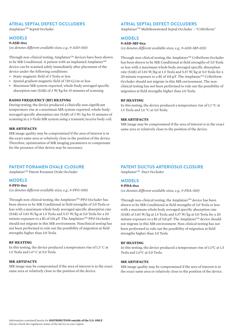# **ATRIAL SEPTAL DEFECT OCCLUDERS**

Amplatzer<sup>™</sup> Septal Occluder

# **MODELS**

#### **9-ASD-0xx**

*(xx denotes different available sizes, e.g., 9-ASD-010)*

Through non-clinical testing, Amplatzer™ devices have been shown to be MR Conditional. A patient with an implanted Amplatzer<sup>TM</sup> device can be scanned safely immediately after placement of the device under the following conditions:

- Static magnetic field of 3 Tesla or less
- Spatial gradient magnetic field of 720 G/cm or less
- Maximum MR system-reported, whole-body-averaged specific absorption rate (SAR) of 3 W/kg for 15 minutes of scanning

#### **RADIO FREQUENCY (RF) HEATING**

During testing, the device produced a clinically non-significant temperature rise at a maximum MR system-reported, whole-bodyaveraged specific absorption rate (SAR) of 3 W/ kg for 15 minutes of scanning in a 3-Tesla MR system using a transmit/receive body coil.

### **MR ARTIFACTS**

MR image quality may be compromised if the area of interest is in the exact same area or relatively close to the position of the device. Therefore, optimization of MR imaging parameters to compensate for the presence of this device may be necessary.

# **PATENT FORAMEN OVALE CLOSURE**

Amplatzer™ Patent Foramen Ovale Occluder

# **MODELS**

# **9-PFO-0xx**

*(xx denotes different available sizes, e.g., 9-PFO-030)*

Through non-clinical testing, the Amplatzer<sup>TM</sup> PFO Occluder has been shown to be MR Conditional at field strengths of 3.0 Tesla or less with a maximum whole body averaged specific absorption rate (SAR) of 3.83 W/kg at 1.5 Tesla and 5.57 W/kg at 5.0 Tesla for a 20 minute exposure to a B1 of 118 μT. The Amplatzer<sup>™</sup> PFO Occluder should not migrate in this MR environment. Nonclinical testing has not been performed to rule out the possibility of migration at field strengths higher than 3.0 Tesla.

#### **RF HEATING**

In this testing, the device produced a temperature rise of 1.1° C at 1.5 Tesla and 1.6° C at 5.0 Tesla.

#### **MR ARTIFACTS**

MR image may be compromised if the area of interest is in the exact same area or relatively close to the position of the device.

# **ATRIAL SEPTAL DEFECT OCCLUDERS**

AmplatzerTM Multifenestrated Septal Occluder – "Cribriform"

# **MODELS**

### **9-ASD-MF-0xx**

*(xx denotes different available sizes, e.g., 9-ASD-MF-025)*

Through non-clinical testing, the Amplatzer™ Cribriform Occluder has been shown to be MR Conditional at field strengths of 3.0 Tesla or less with a maximum whole body averaged specific absorption rate (SAR) of 3.83 W/Kg at 1.5 Tesla and 5.57 W/kg at 5.0 Tesla for a 20 minute exposure to a B1 of 118  $\mu$ T. The Amplatzer<sup>TM</sup> Cribriform Occluder should not migrate in this MR environment. The nonclinical testing has not been performed to rule out the possibility of migration at field strengths higher than 3.0 Tesla.

#### **RF HEATING**

In this testing, the device produced a temperature rise of 1.1 °C at 1.5 Tesla and 1.6 °C at 3.0 Tesla.

# **MR ARTIFACTS**

MR image may be compromised if the area of interest is in the exact same area or relatively close to the position of the device.

# **PATENT DUCTUS ARTERIOSUS CLOSURE**

Amplatzer<sup>™</sup> Duct Occluder

# **MODELS**

# **9-PDA-0xx**

*(xx denotes different available sizes, e.g., 9-PDA-010)*

Through non-clinical testing, the Amplatzer $TM$  device has been shown to be MR Conditional at field strengths of 3.0 Tesla or less with a maximum whole body averaged specific absorption rate (SAR) of 3.83 W/kg at 1.5 Tesla and 5.57 W/kg at 5.0 Tesla for a 20 minute exposure to a B1 of 118  $\mu$ T. The Amplatzer<sup>TM</sup> device should not migrate in this MR environment. Non-clinical testing has not been performed to rule out the possibility of migration at field strengths higher than 3.0 Tesla.

#### **RF HEATING**

In this testing, the device produced a temperature rise of 1.1°C at 1.5 Tesla and 1.6°C at 5.0 Tesla.

#### **MR ARTIFACTS**

MR image quality may be compromised if the area of interest is in the exact same area or relatively close to the position of the device.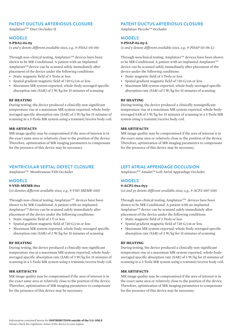# **PATENT DUCTUS ARTERIOSUS CLOSURE**

Amplatzer™ Duct Occluder II

# **MODELS**

#### **9-PDA2-0x-0y**

*(x and y denote different available sizes, e.g., 9-PDA2-04-06)*

Through non-clinical testing, Amplatzer™ devices have been shown to be MR Conditional. A patient with an implanted Amplatzer<sup>™</sup> device can be scanned safely immediately after placement of the device under the following conditions:

- Static magnetic field of 3 Tesla or less
- Spatial gradient magnetic field of 720 G/cm or less
- Maximum MR system-reported, whole-body-averaged specific absorption rate (SAR) of 3 W/kg for 15 minutes of scanning

#### **RF HEATING**

During testing, the device produced a clinically non-significant temperature rise at a maximum MR system-reported, whole-bodyaveraged specific absorption rate (SAR) of 3 W/kg for 15 minutes of scanning in a 3-Tesla MR system using a transmit/receive body coil.

#### **MR ARTIFACTS**

MR image quality may be compromised if the area of interest is in the exact same area or relatively close to the position of the device. Therefore, optimization of MR imaging parameters to compensate for the presence of this device may be necessary.

#### **VENTRICULAR SEPTAL DEFECT CLOSURE**

Amplatzer<sup>™</sup> Membranous VSD Occluder

# **MODELS**

#### **9-VSD-MEMB-0xx**

*(xx denotes different available sizes, e.g., 9-VSD-MEMB-010)*

Through non-clinical testing, Amplatzer $T^M$  devices have been shown to be MR Conditional. A patient with an implanted Amplatzer<sup>TM</sup> device can be scanned safely immediately after placement of the device under the following conditions:

- Static magnetic field of 3 T or less
- Spatial gradient magnetic field of 720 G/cm or less
- Maximum MR system-reported, whole-body-averaged specific absorption rate (SAR) of 3 W/kg for 15 minutes of scanning

#### **RF HEATING**

During testing, the device produced a clinically non-significant temperature rise at a maximum MR system-reported, whole-bodyaveraged specific absorption rate (SAR) of 3 W/kg for 15 minutes of scanning in a 3-Tesla MR system using a transmit/receive body coil.

### **MR ARTIFACTS**

MR image quality may be compromised if the area of interest is in the exact same area or relatively close to the position of the device. Therefore, optimization of MR imaging parameters to compensate for the presence of this device may be necessary.

# **PATENT DUCTUS ARTERIOSUS CLOSURE**

Amplatzer Piccolo™ Occluder

# **MODELS**

## **9-PDAP-0x-0y-L**

*(x and y denote different available sizes, e.g., 9-PDAP-03-06-L)*

Through nonclinical testing, Amplatzer™ devices have been shown to be MR Conditional. A patient with an implanted Amplatzer™ device can be scanned safely immediately after placement of the device under the following conditions:

- Static magnetic field of 3 Tesla or less
- Spatial gradient magnetic field of 720 G/cm or less
- Maximum MR system-reported, whole-body-averaged specific absorption rate (SAR) of 3 W/kg for 15 minutes of scanning

#### **RF HEATING**

During testing, the device produced a clinically nonsignificant temperature rise at a maximum MR system-reported, whole-bodyaveraged SAR of 3 W/kg for 15 minutes of scanning in a 3-Tesla MR system using a transmit/receive body coil.

#### **MR ARTIFACTS**

MR image quality may be compromised if the area of interest is in the exact same area or relatively close to the position of the device. Therefore, optimization of MR imaging parameters to compensate for the presence of this device may be necessary.

## **LEFT ATRIAL APPENDAGE OCCLUSION**

AmplatzerTM Amulet™ Left Atrial Appendage Occluder

# **MODELS**

#### **9-ACP2-0xx-0yy**

*(xx and yy denote different available sizes, e.g., 9-ACP2-007-018)*

Through non-clinical testing, Amplatzer $TM$  devices have been shown to be MR Conditional. A patient with an implanted Amplatzer<sup>TM</sup> device can be scanned safely immediately after placement of the device under the following conditions:

- Static magnetic field of 3 Tesla or less
- Spatial gradient magnetic field of 720 G/cm or less
- Maximum MR system-reported, whole-body-averaged specific absorption rate (SAR) of 3 W/kg for 15 minutes of scanning

#### **RF HEATING**

During testing, the device produced a clinically non-significant temperature rise at a maximum MR system-reported, whole-bodyaveraged specific absorption rate (SAR) of 3 W/kg for 15 minutes of scanning in a 3-Tesla MR system using a transmit/receive body coil.

#### **MR ARTIFACTS**

MR image quality may be compromised if the area of interest is in the exact same area or relatively close to the position of the device. Therefore, optimization of MR imaging parameters to compensate for the presence of this device may be necessary.